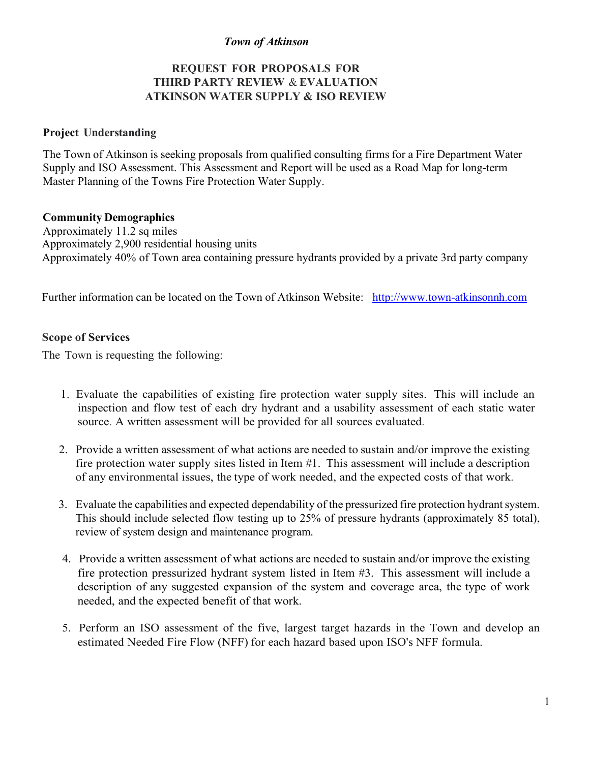# *Town of Atkinson*

# **REQUEST FOR PROPOSALS FOR THIRD PARTY REVIEW** & **EVALUATION ATKINSON WATER SUPPLY & ISO REVIEW**

#### **Project Understanding**

The Town of Atkinson is seeking proposals from qualified consulting firms for a Fire Department Water Supply and ISO Assessment. This Assessment and Report will be used as a Road Map for long-term Master Planning of the Towns Fire Protection Water Supply.

#### **Community Demographics**

Approximately 11.2 sq miles Approximately 2,900 residential housing units Approximately 40% of Town area containing pressure hydrants provided by a private 3rd party company

Further information can be located on the Town of Atkinson Website: http://www.town-atkinsonnh.com

#### **Scope of Services**

The Town is requesting the following:

- 1. Evaluate the capabilities of existing fire protection water supply sites. This will include an inspection and flow test of each dry hydrant and a usability assessment of each static water source. A written assessment will be provided for all sources evaluated.
- 2. Provide a written assessment of what actions are needed to sustain and/or improve the existing fire protection water supply sites listed in Item #1. This assessment will include a description of any environmental issues, the type of work needed, and the expected costs of that work.
- 3. Evaluate the capabilities and expected dependability of the pressurized fire protection hydrant system. This should include selected flow testing up to 25% of pressure hydrants (approximately 85 total), review of system design and maintenance program.
- 4. Provide a written assessment of what actions are needed to sustain and/or improve the existing fire protection pressurized hydrant system listed in Item #3. This assessment will include a description of any suggested expansion of the system and coverage area, the type of work needed, and the expected benefit of that work.
- 5. Perform an ISO assessment of the five, largest target hazards in the Town and develop an estimated Needed Fire Flow (NFF) for each hazard based upon ISO's NFF formula.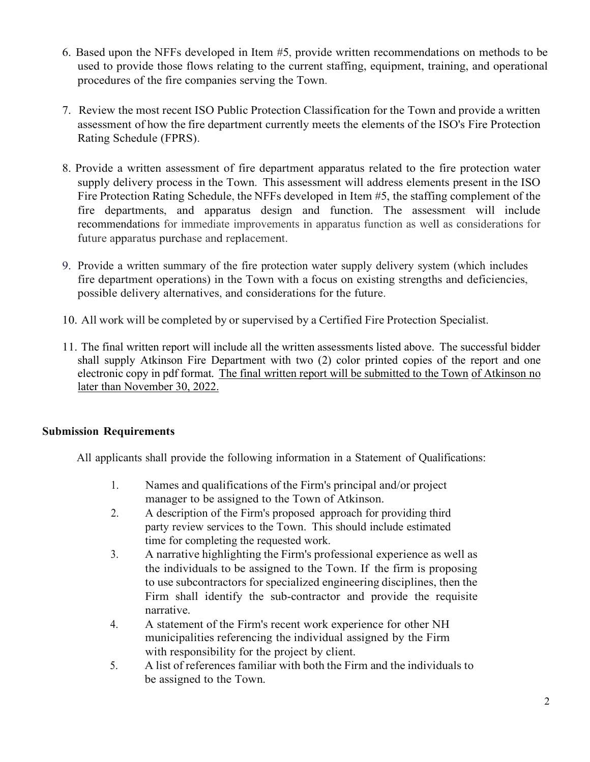- 6. Based upon the NFFs developed in Item #5, provide written recommendations on methods to be used to provide those flows relating to the current staffing, equipment, training, and operational procedures of the fire companies serving the Town.
- 7. Review the most recent ISO Public Protection Classification for the Town and provide a written assessment of how the fire department currently meets the elements of the ISO's Fire Protection Rating Schedule (FPRS).
- 8. Provide a written assessment of fire department apparatus related to the fire protection water supply delivery process in the Town. This assessment will address elements present in the ISO Fire Protection Rating Schedule, the NFFs developed in Item #5, the staffing complement of the fire departments, and apparatus design and function. The assessment will include recommendations for immediate improvements in apparatus function as well as considerations for future apparatus purchase and replacement.
- 9. Provide a written summary of the fire protection water supply delivery system (which includes fire department operations) in the Town with a focus on existing strengths and deficiencies, possible delivery alternatives, and considerations for the future.
- 10. All work will be completed by or supervised by a Certified Fire Protection Specialist.
- 11. The final written report will include all the written assessments listed above. The successful bidder shall supply Atkinson Fire Department with two (2) color printed copies of the report and one electronic copy in pdf format. The final written report will be submitted to the Town of Atkinson no later than November 30, 2022.

# **Submission Requirements**

All applicants shall provide the following information in a Statement of Qualifications:

- 1. Names and qualifications of the Firm's principal and/or project manager to be assigned to the Town of Atkinson.
- 2. A description of the Firm's proposed approach for providing third party review services to the Town. This should include estimated time for completing the requested work.
- 3. A narrative highlighting the Firm's professional experience as well as the individuals to be assigned to the Town. If the firm is proposing to use subcontractors for specialized engineering disciplines, then the Firm shall identify the sub-contractor and provide the requisite narrative.
- 4. A statement of the Firm's recent work experience for other NH municipalities referencing the individual assigned by the Firm with responsibility for the project by client.
- 5. A list of references familiar with both the Firm and the individuals to be assigned to the Town.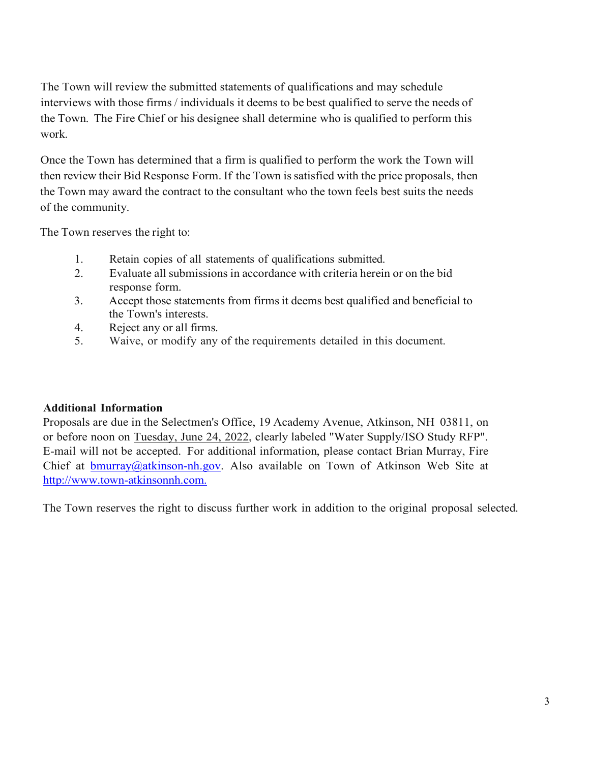The Town will review the submitted statements of qualifications and may schedule interviews with those firms / individuals it deems to be best qualified to serve the needs of the Town. The Fire Chief or his designee shall determine who is qualified to perform this work.

Once the Town has determined that a firm is qualified to perform the work the Town will then review their Bid Response Form. If the Town issatisfied with the price proposals, then the Town may award the contract to the consultant who the town feels best suits the needs of the community.

The Town reserves the right to:

- 1. Retain copies of all statements of qualifications submitted.
- 2. Evaluate all submissions in accordance with criteria herein or on the bid response form.
- 3. Accept those statements from firmsit deems best qualified and beneficial to the Town's interests.
- 4. Reject any or all firms.
- 5. Waive, or modify any of the requirements detailed in this document.

# **Additional Information**

Proposals are due in the Selectmen's Office, 19 Academy Avenue, Atkinson, NH 03811, on or before noon on Tuesday, June 24, 2022, clearly labeled "Water Supply/ISO Study RFP". E-mail will not be accepted. For additional information, please contact Brian Murray, Fire Chief at bmurray@atkinson-nh.gov. Also available on Town of Atkinson Web Site at http://www.town-atkinsonnh.com.

The Town reserves the right to discuss further work in addition to the original proposal selected.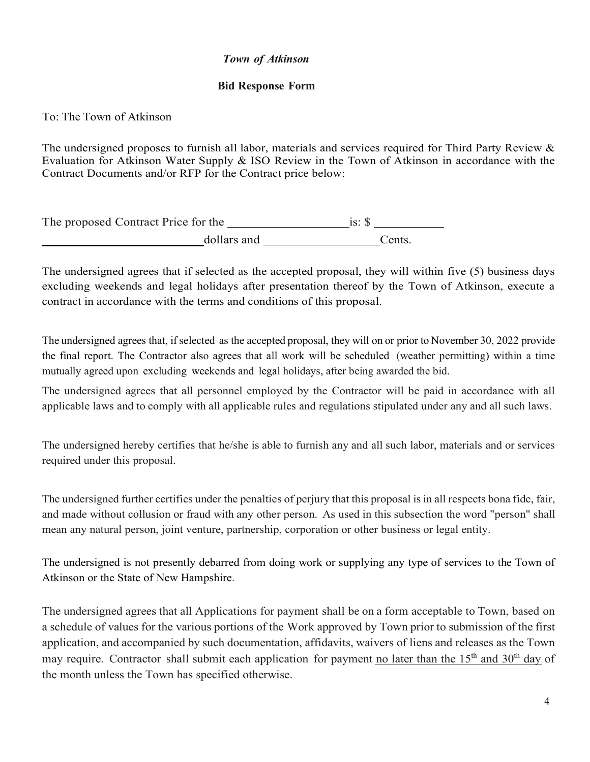# *Town of Atkinson*

#### **Bid Response Form**

To: The Town of Atkinson

The undersigned proposes to furnish all labor, materials and services required for Third Party Review & Evaluation for Atkinson Water Supply & ISO Review in the Town of Atkinson in accordance with the Contract Documents and/or RFP for the Contract price below:

| The proposed Contract Price for the | $is:$ S |        |
|-------------------------------------|---------|--------|
| dollars and                         |         | Cents. |

The undersigned agrees that if selected as the accepted proposal, they will within five (5) business days excluding weekends and legal holidays after presentation thereof by the Town of Atkinson, execute a contract in accordance with the terms and conditions of this proposal.

The undersigned agrees that, if selected as the accepted proposal, they will on or prior to November 30, 2022 provide the final report. The Contractor also agrees that all work will be scheduled (weather permitting) within a time mutually agreed upon excluding weekends and legal holidays, after being awarded the bid.

The undersigned agrees that all personnel employed by the Contractor will be paid in accordance with all applicable laws and to comply with all applicable rules and regulations stipulated under any and all such laws.

The undersigned hereby certifies that he/she is able to furnish any and all such labor, materials and or services required under this proposal.

The undersigned further certifies under the penalties of perjury that this proposal isin all respects bona fide, fair, and made without collusion or fraud with any other person. As used in this subsection the word "person" shall mean any natural person, joint venture, partnership, corporation or other business or legal entity.

The undersigned is not presently debarred from doing work or supplying any type of services to the Town of Atkinson or the State of New Hampshire.

The undersigned agrees that all Applications for payment shall be on a form acceptable to Town, based on a schedule of values for the various portions of the Work approved by Town prior to submission of the first application, and accompanied by such documentation, affidavits, waivers of liens and releases as the Town may require. Contractor shall submit each application for payment no later than the  $15<sup>th</sup>$  and  $30<sup>th</sup>$  day of the month unless the Town has specified otherwise.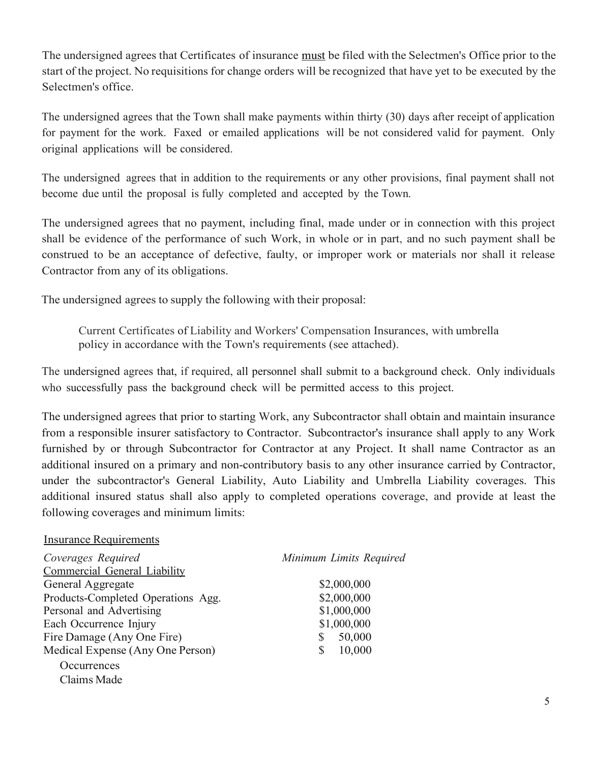The undersigned agrees that Certificates of insurance must be filed with the Selectmen's Office prior to the start of the project. No requisitions for change orders will be recognized that have yet to be executed by the Selectmen's office.

The undersigned agrees that the Town shall make payments within thirty (30) days after receipt of application for payment for the work. Faxed or emailed applications will be not considered valid for payment. Only original applications will be considered.

The undersigned agrees that in addition to the requirements or any other provisions, final payment shall not become due until the proposal is fully completed and accepted by the Town.

The undersigned agrees that no payment, including final, made under or in connection with this project shall be evidence of the performance of such Work, in whole or in part, and no such payment shall be construed to be an acceptance of defective, faulty, or improper work or materials nor shall it release Contractor from any of its obligations.

The undersigned agrees to supply the following with their proposal:

Current Certificates of Liability and Workers' Compensation Insurances, with umbrella policy in accordance with the Town's requirements (see attached).

The undersigned agrees that, if required, all personnel shall submit to a background check. Only individuals who successfully pass the background check will be permitted access to this project.

The undersigned agrees that prior to starting Work, any Subcontractor shall obtain and maintain insurance from a responsible insurer satisfactory to Contractor. Subcontractor's insurance shall apply to any Work furnished by or through Subcontractor for Contractor at any Project. It shall name Contractor as an additional insured on a primary and non-contributory basis to any other insurance carried by Contractor, under the subcontractor's General Liability, Auto Liability and Umbrella Liability coverages. This additional insured status shall also apply to completed operations coverage, and provide at least the following coverages and minimum limits:

| <u>Insurance Requirements</u>       |                         |  |
|-------------------------------------|-------------------------|--|
| Coverages Required                  | Minimum Limits Required |  |
| <b>Commercial General Liability</b> |                         |  |
| General Aggregate                   | \$2,000,000             |  |
| Products-Completed Operations Agg.  | \$2,000,000             |  |
| Personal and Advertising            | \$1,000,000             |  |
| Each Occurrence Injury              | \$1,000,000             |  |
| Fire Damage (Any One Fire)          | 50,000                  |  |
| Medical Expense (Any One Person)    | 10,000                  |  |
| Occurrences                         |                         |  |
| Claims Made                         |                         |  |

Insurance Requirements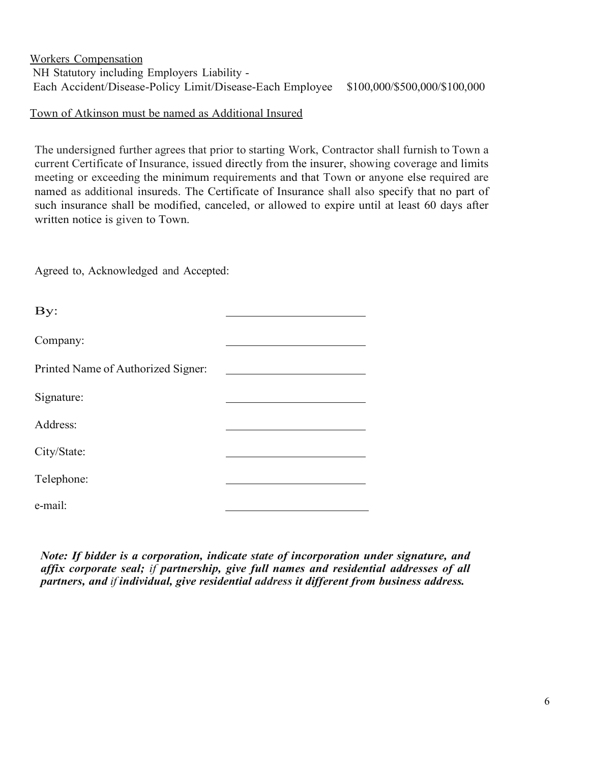# Workers Compensation NH Statutory including Employers Liability - Each Accident/Disease-Policy Limit/Disease-Each Employee \$100,000/\$500,000/\$100,000

# Town of Atkinson must be named as Additional Insured

The undersigned further agrees that prior to starting Work, Contractor shall furnish to Town a current Certificate of Insurance, issued directly from the insurer, showing coverage and limits meeting or exceeding the minimum requirements and that Town or anyone else required are named as additional insureds. The Certificate of Insurance shall also specify that no part of such insurance shall be modified, canceled, or allowed to expire until at least 60 days after written notice is given to Town.

Agreed to, Acknowledged and Accepted:

| By:                                |  |
|------------------------------------|--|
| Company:                           |  |
| Printed Name of Authorized Signer: |  |
| Signature:                         |  |
| Address:                           |  |
| City/State:                        |  |
| Telephone:                         |  |
| e-mail:                            |  |
|                                    |  |

*Note: If bidder is a corporation, indicate state of incorporation under signature, and affix corporate seal; if partnership, give full names and residential addresses of all partners, and if individual, give residential address it different from business address.*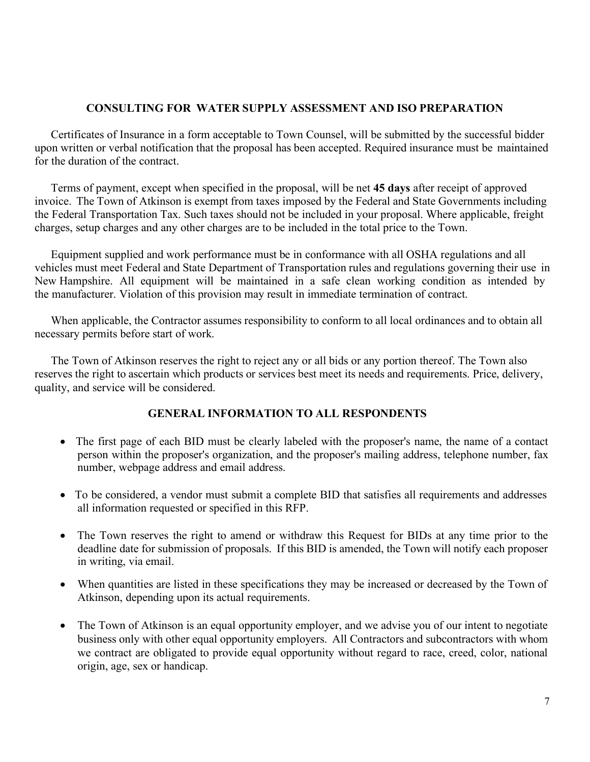### **CONSULTING FOR WATER SUPPLY ASSESSMENT AND ISO PREPARATION**

Certificates of Insurance in a form acceptable to Town Counsel, will be submitted by the successful bidder upon written or verbal notification that the proposal has been accepted. Required insurance must be maintained for the duration of the contract.

Terms of payment, except when specified in the proposal, will be net **45 days** after receipt of approved invoice. The Town of Atkinson is exempt from taxes imposed by the Federal and State Governments including the Federal Transportation Tax. Such taxes should not be included in your proposal. Where applicable, freight charges, setup charges and any other charges are to be included in the total price to the Town.

Equipment supplied and work performance must be in conformance with all OSHA regulations and all vehicles must meet Federal and State Department of Transportation rules and regulations governing their use in New Hampshire. All equipment will be maintained in a safe clean working condition as intended by the manufacturer. Violation of this provision may result in immediate termination of contract.

When applicable, the Contractor assumes responsibility to conform to all local ordinances and to obtain all necessary permits before start of work.

The Town of Atkinson reserves the right to reject any or all bids or any portion thereof. The Town also reserves the right to ascertain which products or services best meet its needs and requirements. Price, delivery, quality, and service will be considered.

# **GENERAL INFORMATION TO ALL RESPONDENTS**

- The first page of each BID must be clearly labeled with the proposer's name, the name of a contact person within the proposer's organization, and the proposer's mailing address, telephone number, fax number, webpage address and email address.
- To be considered, a vendor must submit a complete BID that satisfies all requirements and addresses all information requested or specified in this RFP.
- The Town reserves the right to amend or withdraw this Request for BIDs at any time prior to the deadline date for submission of proposals. If this BID is amended, the Town will notify each proposer in writing, via email.
- When quantities are listed in these specifications they may be increased or decreased by the Town of Atkinson, depending upon its actual requirements.
- The Town of Atkinson is an equal opportunity employer, and we advise you of our intent to negotiate business only with other equal opportunity employers. All Contractors and subcontractors with whom we contract are obligated to provide equal opportunity without regard to race, creed, color, national origin, age, sex or handicap.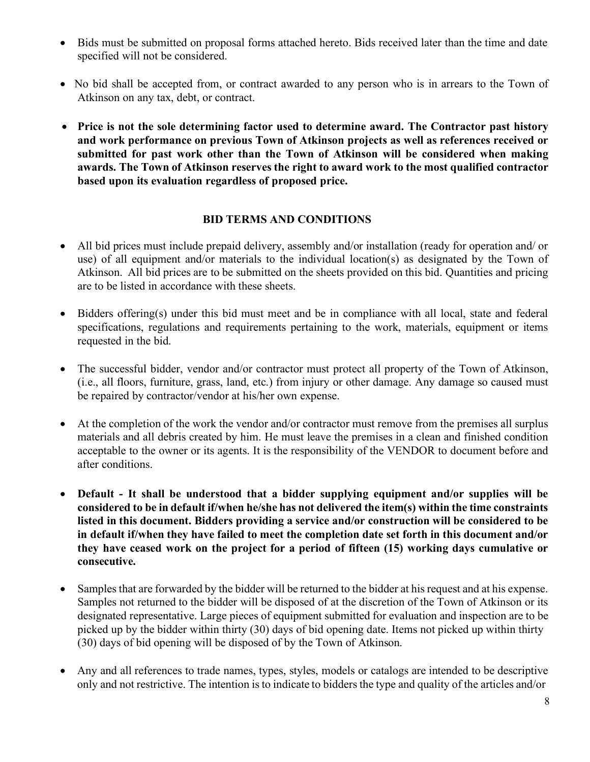- Bids must be submitted on proposal forms attached hereto. Bids received later than the time and date specified will not be considered.
- No bid shall be accepted from, or contract awarded to any person who is in arrears to the Town of Atkinson on any tax, debt, or contract.
- **Price is not the sole determining factor used to determine award. The Contractor past history and work performance on previous Town of Atkinson projects as well as references received or submitted for past work other than the Town of Atkinson will be considered when making awards. The Town of Atkinson reserves the right to award work to the most qualified contractor based upon its evaluation regardless of proposed price.**

# **BID TERMS AND CONDITIONS**

- All bid prices must include prepaid delivery, assembly and/or installation (ready for operation and/ or use) of all equipment and/or materials to the individual location(s) as designated by the Town of Atkinson. All bid prices are to be submitted on the sheets provided on this bid. Quantities and pricing are to be listed in accordance with these sheets.
- Bidders offering(s) under this bid must meet and be in compliance with all local, state and federal specifications, regulations and requirements pertaining to the work, materials, equipment or items requested in the bid.
- The successful bidder, vendor and/or contractor must protect all property of the Town of Atkinson, (i.e., all floors, furniture, grass, land, etc.) from injury or other damage. Any damage so caused must be repaired by contractor/vendor at his/her own expense.
- At the completion of the work the vendor and/or contractor must remove from the premises all surplus materials and all debris created by him. He must leave the premises in a clean and finished condition acceptable to the owner or its agents. It is the responsibility of the VENDOR to document before and after conditions.
- **Default - It shall be understood that a bidder supplying equipment and/or supplies will be considered to be in default if/when he/she has not delivered the item(s) within the time constraints listed in this document. Bidders providing a service and/or construction will be considered to be in default if/when they have failed to meet the completion date set forth in this document and/or they have ceased work on the project for a period of fifteen (15) working days cumulative or consecutive.**
- Samples that are forwarded by the bidder will be returned to the bidder at his request and at his expense. Samples not returned to the bidder will be disposed of at the discretion of the Town of Atkinson or its designated representative. Large pieces of equipment submitted for evaluation and inspection are to be picked up by the bidder within thirty (30) days of bid opening date. Items not picked up within thirty (30) days of bid opening will be disposed of by the Town of Atkinson.
- Any and all references to trade names, types, styles, models or catalogs are intended to be descriptive only and not restrictive. The intention is to indicate to bidders the type and quality of the articles and/or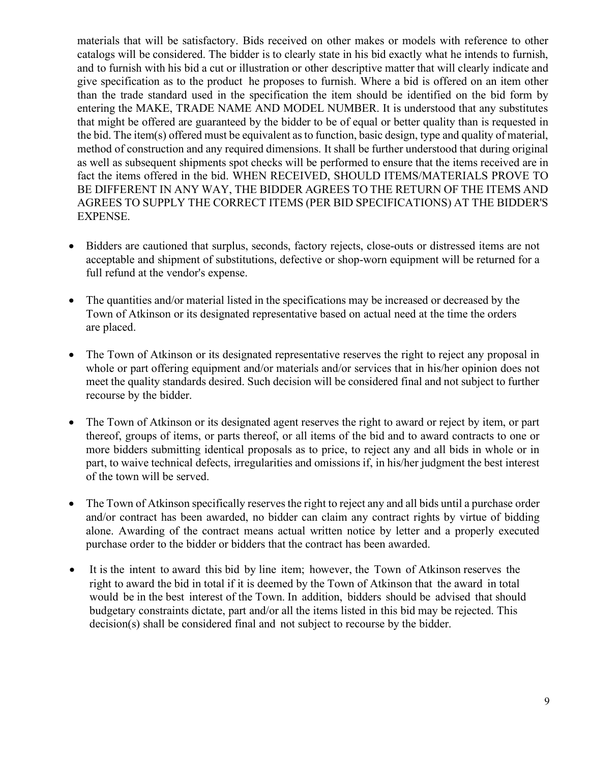materials that will be satisfactory. Bids received on other makes or models with reference to other catalogs will be considered. The bidder is to clearly state in his bid exactly what he intends to furnish, and to furnish with his bid a cut or illustration or other descriptive matter that will clearly indicate and give specification as to the product he proposes to furnish. Where a bid is offered on an item other than the trade standard used in the specification the item should be identified on the bid form by entering the MAKE, TRADE NAME AND MODEL NUMBER. It is understood that any substitutes that might be offered are guaranteed by the bidder to be of equal or better quality than is requested in the bid. The item(s) offered must be equivalent asto function, basic design, type and quality of material, method of construction and any required dimensions. It shall be further understood that during original as well as subsequent shipments spot checks will be performed to ensure that the items received are in fact the items offered in the bid. WHEN RECEIVED, SHOULD ITEMS/MATERIALS PROVE TO BE DIFFERENT IN ANY WAY, THE BIDDER AGREES TO THE RETURN OF THE ITEMS AND AGREES TO SUPPLY THE CORRECT ITEMS (PER BID SPECIFICATIONS) AT THE BIDDER'S EXPENSE.

- Bidders are cautioned that surplus, seconds, factory rejects, close-outs or distressed items are not acceptable and shipment of substitutions, defective or shop-worn equipment will be returned for a full refund at the vendor's expense.
- The quantities and/or material listed in the specifications may be increased or decreased by the Town of Atkinson or its designated representative based on actual need at the time the orders are placed.
- The Town of Atkinson or its designated representative reserves the right to reject any proposal in whole or part offering equipment and/or materials and/or services that in his/her opinion does not meet the quality standards desired. Such decision will be considered final and not subject to further recourse by the bidder.
- The Town of Atkinson or its designated agent reserves the right to award or reject by item, or part thereof, groups of items, or parts thereof, or all items of the bid and to award contracts to one or more bidders submitting identical proposals as to price, to reject any and all bids in whole or in part, to waive technical defects, irregularities and omissions if, in his/her judgment the best interest of the town will be served.
- The Town of Atkinson specifically reserves the right to reject any and all bids until a purchase order and/or contract has been awarded, no bidder can claim any contract rights by virtue of bidding alone. Awarding of the contract means actual written notice by letter and a properly executed purchase order to the bidder or bidders that the contract has been awarded.
- It is the intent to award this bid by line item; however, the Town of Atkinson reserves the right to award the bid in total if it is deemed by the Town of Atkinson that the award in total would be in the best interest of the Town. In addition, bidders should be advised that should budgetary constraints dictate, part and/or all the items listed in this bid may be rejected. This decision(s) shall be considered final and not subject to recourse by the bidder.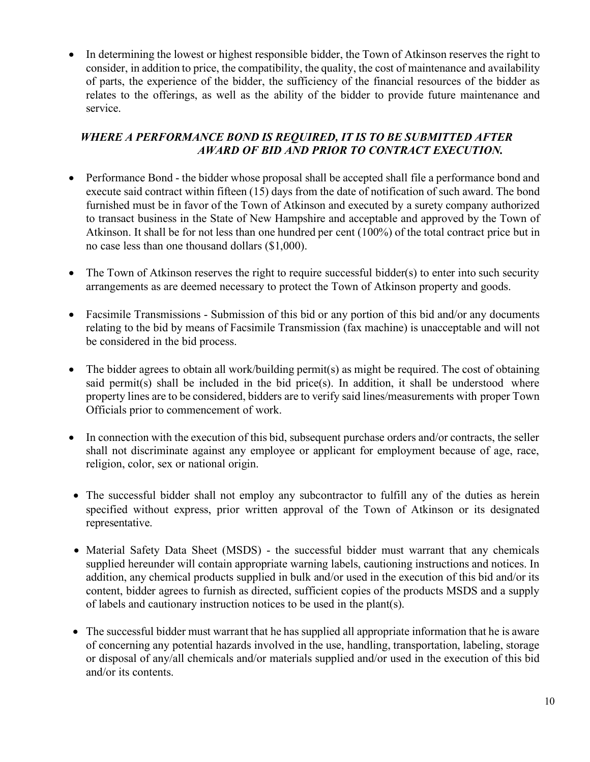• In determining the lowest or highest responsible bidder, the Town of Atkinson reserves the right to consider, in addition to price, the compatibility, the quality, the cost of maintenance and availability of parts, the experience of the bidder, the sufficiency of the financial resources of the bidder as relates to the offerings, as well as the ability of the bidder to provide future maintenance and service.

# *WHERE A PERFORMANCE BOND IS REQUIRED, IT IS TO BE SUBMITTED AFTER AWARD OF BID AND PRIOR TO CONTRACT EXECUTION.*

- Performance Bond the bidder whose proposal shall be accepted shall file a performance bond and execute said contract within fifteen (15) days from the date of notification of such award. The bond furnished must be in favor of the Town of Atkinson and executed by a surety company authorized to transact business in the State of New Hampshire and acceptable and approved by the Town of Atkinson. It shall be for not less than one hundred per cent (100%) of the total contract price but in no case less than one thousand dollars (\$1,000).
- The Town of Atkinson reserves the right to require successful bidder(s) to enter into such security arrangements as are deemed necessary to protect the Town of Atkinson property and goods.
- Facsimile Transmissions Submission of this bid or any portion of this bid and/or any documents relating to the bid by means of Facsimile Transmission (fax machine) is unacceptable and will not be considered in the bid process.
- The bidder agrees to obtain all work/building permit(s) as might be required. The cost of obtaining said permit(s) shall be included in the bid price(s). In addition, it shall be understood where property lines are to be considered, bidders are to verify said lines/measurements with proper Town Officials prior to commencement of work.
- In connection with the execution of this bid, subsequent purchase orders and/or contracts, the seller shall not discriminate against any employee or applicant for employment because of age, race, religion, color, sex or national origin.
- The successful bidder shall not employ any subcontractor to fulfill any of the duties as herein specified without express, prior written approval of the Town of Atkinson or its designated representative.
- Material Safety Data Sheet (MSDS) the successful bidder must warrant that any chemicals supplied hereunder will contain appropriate warning labels, cautioning instructions and notices. In addition, any chemical products supplied in bulk and/or used in the execution of this bid and/or its content, bidder agrees to furnish as directed, sufficient copies of the products MSDS and a supply of labels and cautionary instruction notices to be used in the plant(s).
- The successful bidder must warrant that he has supplied all appropriate information that he is aware of concerning any potential hazards involved in the use, handling, transportation, labeling, storage or disposal of any/all chemicals and/or materials supplied and/or used in the execution of this bid and/or its contents.